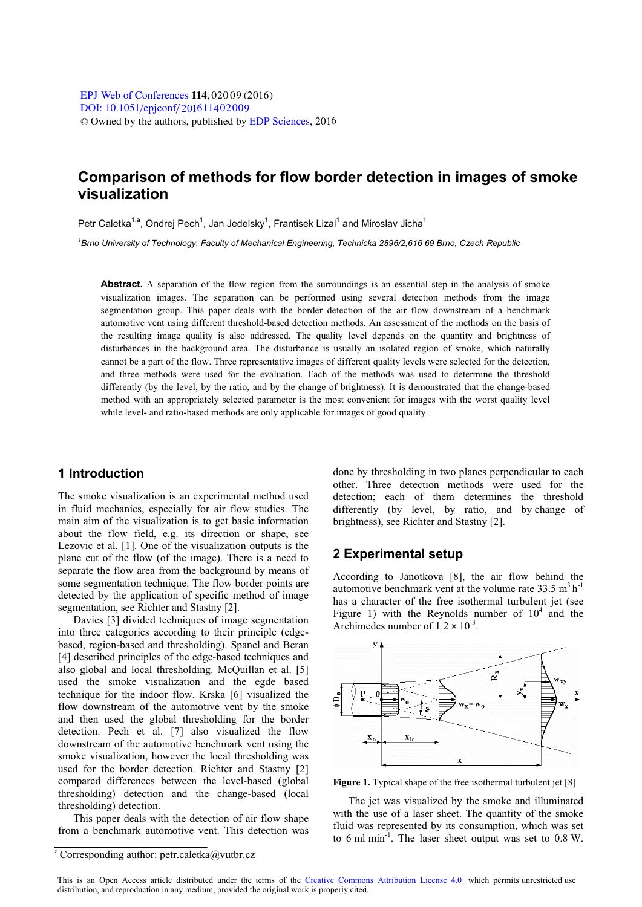# **Comparison of methods for flow border detection in images of smoke visualization**

Petr Caletka<sup>1,a</sup>, Ondrei Pech<sup>1</sup>, Jan Jedelsky<sup>1</sup>, Frantisek Lizal<sup>1</sup> and Miroslav Jicha<sup>1</sup>

<sup>1</sup>Brno University of Technology, Faculty of Mechanical Engineering, Technicka 2896/2,616 69 Brno, Czech Republic *Brno University of Technology, Faculty of Mechanical Engineering, Technicka 2896/2,616 69 Brno, Czech Republic* 

**Abstract.** A separation of the flow region from the surroundings is an essential step in the analysis of smoke visualization images. The separation can be performed using several detection methods from the image segmentation group. This paper deals with the border detection of the air flow downstream of a benchmark automotive vent using different threshold-based detection methods. An assessment of the methods on the basis of the resulting image quality is also addressed. The quality level depends on the quantity and brightness of disturbances in the background area. The disturbance is usually an isolated region of smoke, which naturally cannot be a part of the flow. Three representative images of different quality levels were selected for the detection, and three methods were used for the evaluation. Each of the methods was used to determine the threshold differently (by the level, by the ratio, and by the change of brightness). It is demonstrated that the change-based method with an appropriately selected parameter is the most convenient for images with the worst quality level while level- and ratio-based methods are only applicable for images of good quality.

# **1 Introduction**

The smoke visualization is an experimental method used in fluid mechanics, especially for air flow studies. The main aim of the visualization is to get basic information about the flow field, e.g. its direction or shape, see Lezovic et al. [1]. One of the visualization outputs is the plane cut of the flow (of the image). There is a need to separate the flow area from the background by means of some segmentation technique. The flow border points are detected by the application of specific method of image segmentation, see Richter and Stastny [2].

Davies [3] divided techniques of image segmentation into three categories according to their principle (edgebased, region-based and thresholding). Spanel and Beran [4] described principles of the edge-based techniques and also global and local thresholding. McQuillan et al. [5] used the smoke visualization and the egde based technique for the indoor flow. Krska [6] visualized the flow downstream of the automotive vent by the smoke and then used the global thresholding for the border detection. Pech et al. [7] also visualized the flow downstream of the automotive benchmark vent using the smoke visualization, however the local thresholding was used for the border detection. Richter and Stastny [2] compared differences between the level-based (global thresholding) detection and the change-based (local thresholding) detection.

This paper deals with the detection of air flow shape from a benchmark automotive vent. This detection was

done by thresholding in two planes perpendicular to each other. Three detection methods were used for the detection; each of them determines the threshold differently (by level, by ratio, and by change of brightness), see Richter and Stastny [2].

### **2 Experimental setup**

According to Janotkova [8], the air flow behind the automotive benchmark vent at the volume rate  $33.5 \text{ m}^3 \text{ h}^{-1}$ has a character of the free isothermal turbulent jet (see Figure 1) with the Reynolds number of  $10<sup>4</sup>$  and the Archimedes number of  $1.2 \times 10^{-3}$ .



Figure 1. Typical shape of the free isothermal turbulent jet [8]

The jet was visualized by the smoke and illuminated with the use of a laser sheet. The quantity of the smoke fluid was represented by its consumption, which was set to 6 ml min $^{-1}$ . The laser sheet output was set to 0.8 W.

<sup>&</sup>lt;sup>a</sup> Corresponding author: petr.caletka@vutbr.cz

This is an Open Access article distributed under the terms of the [Creative Commons Attribution License 4.0,](http://creativecommons.org/licenses/by/4.0) which permits unrestricted use distribution, and reproduction in any medium, provided the original work is properly cited.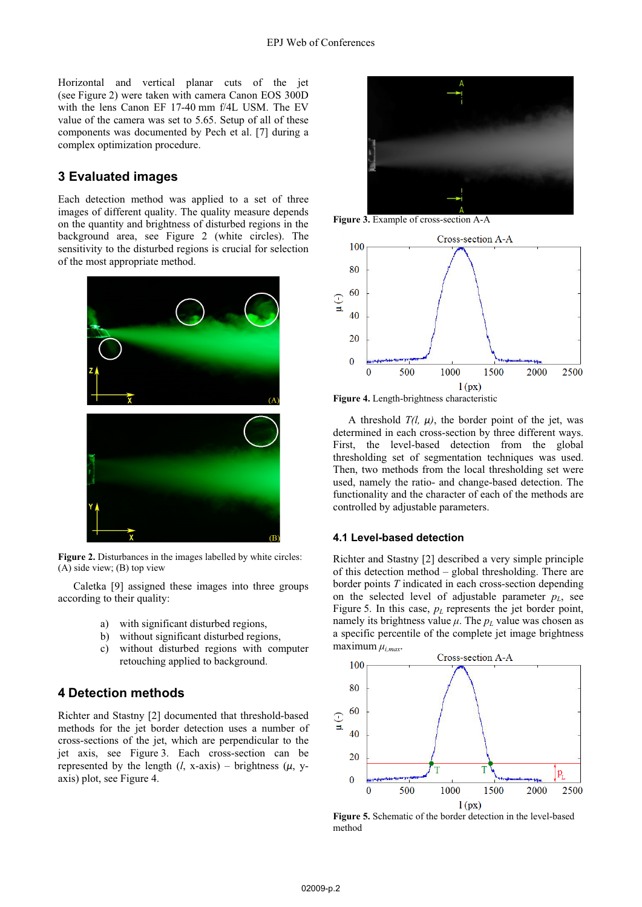Horizontal and vertical planar cuts of the jet (see Figure 2) were taken with camera Canon EOS 300D with the lens Canon EF 17-40 mm f/4L USM. The EV value of the camera was set to 5.65. Setup of all of these components was documented by Pech et al. [7] during a complex optimization procedure.

# **3 Evaluated images**

Each detection method was applied to a set of three images of different quality. The quality measure depends on the quantity and brightness of disturbed regions in the background area, see Figure 2 (white circles). The sensitivity to the disturbed regions is crucial for selection of the most appropriate method.



**Figure 2.** Disturbances in the images labelled by white circles: (A) side view; (B) top view

Caletka [9] assigned these images into three groups according to their quality:

- a) with significant disturbed regions,
- b) without significant disturbed regions,
- c) without disturbed regions with computer retouching applied to background.

### **4 Detection methods**

Richter and Stastny [2] documented that threshold-based methods for the jet border detection uses a number of cross-sections of the jet, which are perpendicular to the jet axis, see Figure 3. Each cross-section can be represented by the length  $(l, x\text{-axis})$  – brightness  $(\mu, y\text{-}$ axis) plot, see Figure 4.



**Figure 3.** Example of cross-section A-A



**Figure 4.** Length-brightness characteristic

A threshold  $T(l, \mu)$ , the border point of the jet, was determined in each cross-section by three different ways. First, the level-based detection from the global thresholding set of segmentation techniques was used. Then, two methods from the local thresholding set were used, namely the ratio- and change-based detection. The functionality and the character of each of the methods are controlled by adjustable parameters.

#### **4.1 Level-based detection**

Richter and Stastny [2] described a very simple principle of this detection method – global thresholding. There are border points *T* indicated in each cross-section depending on the selected level of adjustable parameter  $p<sub>L</sub>$ , see Figure 5. In this case,  $p_l$  represents the jet border point, namely its brightness value  $\mu$ . The  $p_L$  value was chosen as a specific percentile of the complete jet image brightness  $maximum$   $\mu_{i,max}$ .



**Figure 5.** Schematic of the border detection in the level-based method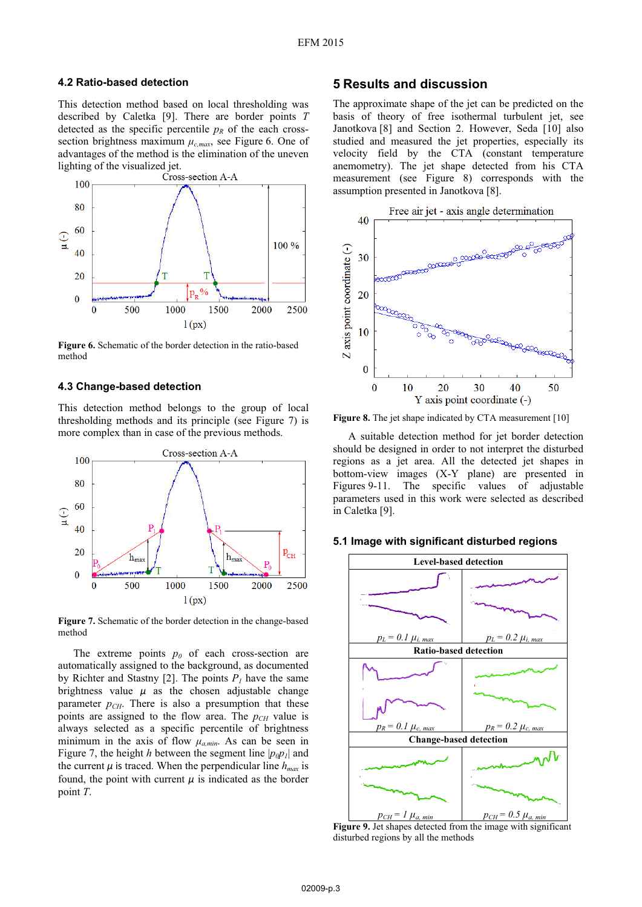#### **4.2 Ratio-based detection**

This detection method based on local thresholding was described by Caletka [9]. There are border points *T* detected as the specific percentile  $p<sub>R</sub>$  of the each crosssection brightness maximum  $\mu_{c,max}$ , see Figure 6. One of advantages of the method is the elimination of the uneven lighting of the visualized jet.<br>Cross-section A-A



**Figure 6.** Schematic of the border detection in the ratio-based method

#### **4.3 Change-based detection**

This detection method belongs to the group of local thresholding methods and its principle (see Figure 7) is more complex than in case of the previous methods.



**Figure 7.** Schematic of the border detection in the change-based method

The extreme points  $p_0$  of each cross-section are automatically assigned to the background, as documented by Richter and Stastny [2]. The points  $P_1$  have the same brightness value  $\mu$  as the chosen adjustable change parameter  $p_{CH}$ . There is also a presumption that these points are assigned to the flow area. The  $p_{CH}$  value is always selected as a specific percentile of brightness minimum in the axis of flow  $\mu_{a,min}$ . As can be seen in Figure 7, the height *h* between the segment line  $|p_0 p_1|$  and the current  $\mu$  is traced. When the perpendicular line  $h_{max}$  is found, the point with current  $\mu$  is indicated as the border point *T*.

### **5 Results and discussion**

The approximate shape of the jet can be predicted on the basis of theory of free isothermal turbulent jet, see Janotkova [8] and Section 2. However, Seda [10] also studied and measured the jet properties, especially its velocity field by the CTA (constant temperature anemometry). The jet shape detected from his CTA measurement (see Figure 8) corresponds with the assumption presented in Janotkova [8].



**Figure 8.** The jet shape indicated by CTA measurement [10]

A suitable detection method for jet border detection should be designed in order to not interpret the disturbed regions as a jet area. All the detected jet shapes in bottom-view images (X-Y plane) are presented in Figures 9-11. The specific values of adjustable parameters used in this work were selected as described in Caletka [9].

#### **5.1 Image with significant disturbed regions**



**Figure 9.** Jet shapes detected from the image with significant disturbed regions by all the methods